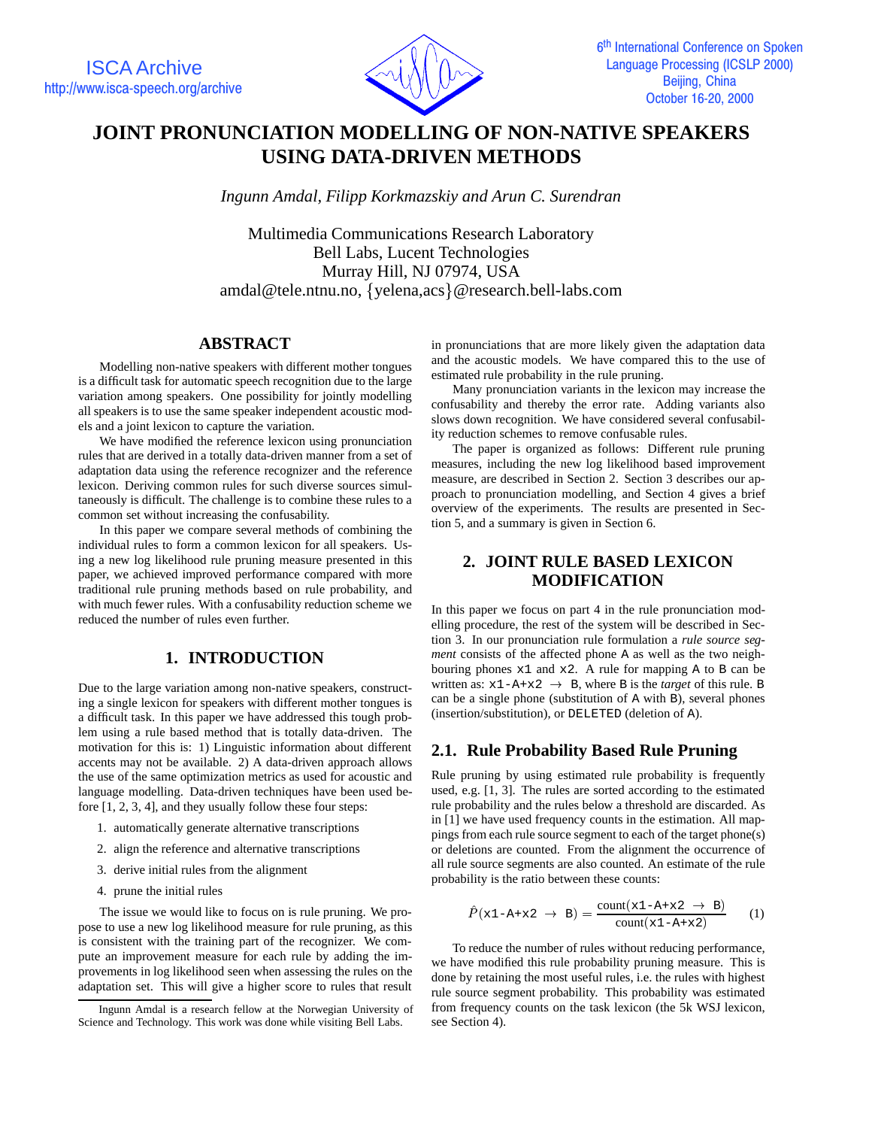

# **JOINT PRONUNCIATION MODELLING OF NON-NATIVE SPEAKERS USING DATA-DRIVEN METHODS**

*Ingunn Amdal, Filipp Korkmazskiy and Arun C. Surendran*

Multimedia Communications Research Laboratory Bell Labs, Lucent Technologies Murray Hill, NJ 07974, USA amdal@tele.ntnu.no, {yelena,acs}@research.bell-labs.com

# **ABSTRACT**

Modelling non-native speakers with different mother tongues is a difficult task for automatic speech recognition due to the large variation among speakers. One possibility for jointly modelling all speakers is to use the same speaker independent acoustic models and a joint lexicon to capture the variation.

We have modified the reference lexicon using pronunciation rules that are derived in a totally data-driven manner from a set of adaptation data using the reference recognizer and the reference lexicon. Deriving common rules for such diverse sources simultaneously is difficult. The challenge is to combine these rules to a common set without increasing the confusability.

In this paper we compare several methods of combining the individual rules to form a common lexicon for all speakers. Using a new log likelihood rule pruning measure presented in this paper, we achieved improved performance compared with more traditional rule pruning methods based on rule probability, and with much fewer rules. With a confusability reduction scheme we reduced the number of rules even further.

# **1. INTRODUCTION**

Due to the large variation among non-native speakers, constructing a single lexicon for speakers with different mother tongues is a difficult task. In this paper we have addressed this tough problem using a rule based method that is totally data-driven. The motivation for this is: 1) Linguistic information about different accents may not be available. 2) A data-driven approach allows the use of the same optimization metrics as used for acoustic and language modelling. Data-driven techniques have been used before [1, 2, 3, 4], and they usually follow these four steps:

- 1. automatically generate alternative transcriptions
- 2. align the reference and alternative transcriptions
- 3. derive initial rules from the alignment
- 4. prune the initial rules

The issue we would like to focus on is rule pruning. We propose to use a new log likelihood measure for rule pruning, as this is consistent with the training part of the recognizer. We compute an improvement measure for each rule by adding the improvements in log likelihood seen when assessing the rules on the adaptation set. This will give a higher score to rules that result

in pronunciations that are more likely given the adaptation data and the acoustic models. We have compared this to the use of estimated rule probability in the rule pruning.

Many pronunciation variants in the lexicon may increase the confusability and thereby the error rate. Adding variants also slows down recognition. We have considered several confusability reduction schemes to remove confusable rules.

The paper is organized as follows: Different rule pruning measures, including the new log likelihood based improvement measure, are described in Section 2. Section 3 describes our approach to pronunciation modelling, and Section 4 gives a brief overview of the experiments. The results are presented in Section 5, and a summary is given in Section 6.

# **2. JOINT RULE BASED LEXICON MODIFICATION**

In this paper we focus on part 4 in the rule pronunciation modelling procedure, the rest of the system will be described in Section 3. In our pronunciation rule formulation a *rule source segment* consists of the affected phone A as well as the two neighbouring phones  $x1$  and  $x2$ . A rule for mapping A to B can be written as:  $x1-A+x2 \rightarrow B$ , where B is the *target* of this rule. B can be a single phone (substitution of A with B), several phones (insertion/substitution), or DELETED (deletion of A).

### **2.1. Rule Probability Based Rule Pruning**

Rule pruning by using estimated rule probability is frequently used, e.g. [1, 3]. The rules are sorted according to the estimated rule probability and the rules below a threshold are discarded. As in [1] we have used frequency counts in the estimation. All mappings from each rule source segment to each of the target phone(s) or deletions are counted. From the alignment the occurrence of all rule source segments are also counted. An estimate of the rule probability is the ratio between these counts:

$$
\hat{P}(\mathbf{x}1 - \mathbf{A} + \mathbf{x}2 \rightarrow \mathbf{B}) = \frac{\text{count}(\mathbf{x}1 - \mathbf{A} + \mathbf{x}2 \rightarrow \mathbf{B})}{\text{count}(\mathbf{x}1 - \mathbf{A} + \mathbf{x}2)} \tag{1}
$$

To reduce the number of rules without reducing performance, we have modified this rule probability pruning measure. This is done by retaining the most useful rules, i.e. the rules with highest rule source segment probability. This probability was estimated from frequency counts on the task lexicon (the 5k WSJ lexicon, see Section 4).

Ingunn Amdal is a research fellow at the Norwegian University of Science and Technology. This work was done while visiting Bell Labs.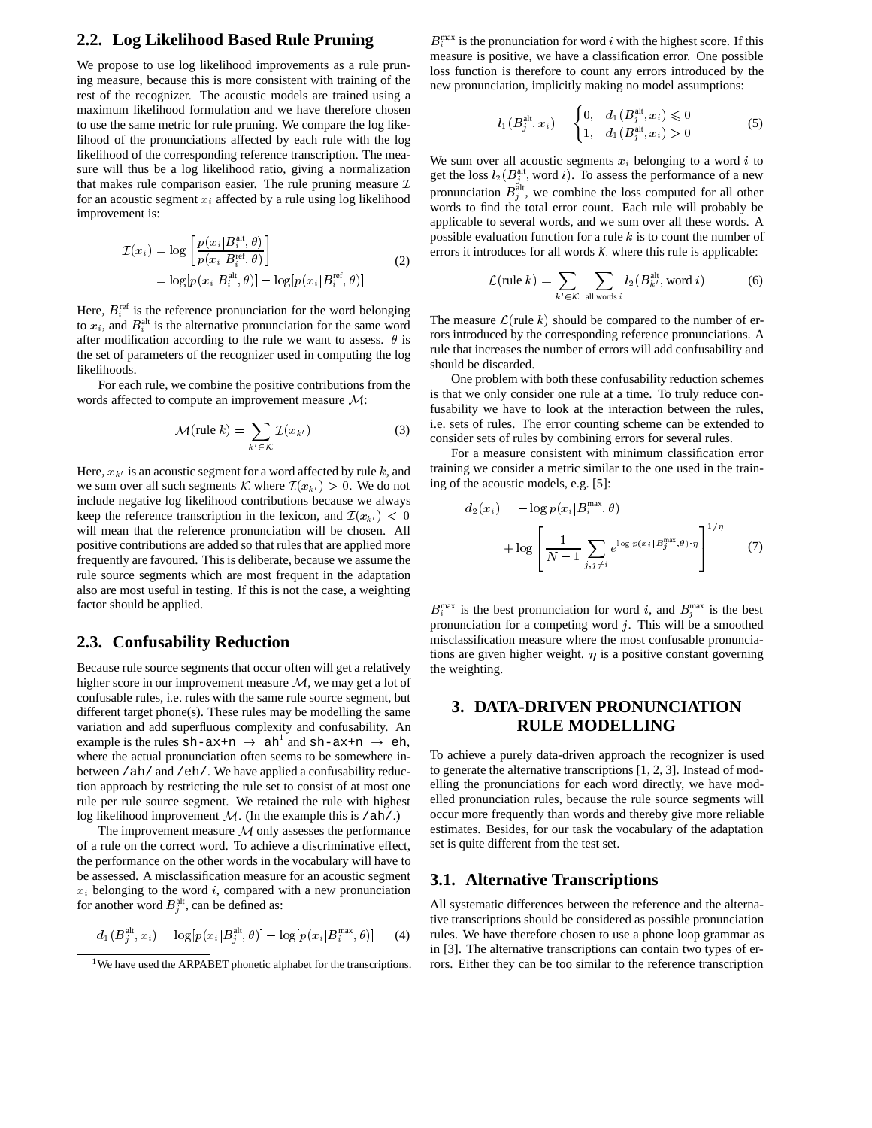### **2.2. Log Likelihood Based Rule Pruning**

We propose to use log likelihood improvements as a rule pruning measure, because this is more consistent with training of the rest of the recognizer. The acoustic models are trained using a maximum likelihood formulation and we have therefore chosen to use the same metric for rule pruning. We compare the log likelihood of the pronunciations affected by each rule with the log likelihood of the corresponding reference transcription. The measure will thus be a log likelihood ratio, giving a normalization that makes rule comparison easier. The rule pruning measure  $\mathcal I$ for an acoustic segment  $x_i$  affected by a rule using log likelihood improvement is:

$$
\mathcal{I}(x_i) = \log \left[ \frac{p(x_i | B_i^{\text{alt}}, \theta)}{p(x_i | B_i^{\text{ref}}, \theta)} \right]
$$
  
= 
$$
\log[p(x_i | B_i^{\text{alt}}, \theta)] - \log[p(x_i | B_i^{\text{ref}}, \theta)]
$$
 (2)

Here,  $B_i^{\text{ref}}$  is the reference pronunciation for the word belonging to  $x_i$ , and  $B_i^{\text{alt}}$  is the alternative pronunciation for the same word after modification according to the rule we want to assess.  $\theta$  is the set of parameters of the recognizer used in computing the log likelihoods.

For each rule, we combine the positive contributions from the words affected to compute an improvement measure <sup>M</sup>:

$$
\mathcal{M}(\text{rule }k) = \sum_{k' \in \mathcal{K}} \mathcal{I}(x_{k'}) \tag{3}
$$

Here,  $x_{k}$  is an acoustic segment for a word affected by rule k, and we sum over all such segments K where  $\mathcal{I}(x_{k'}) > 0$ . We do not include negative log likelihood contributions because we always keep the reference transcription in the lexicon, and  $\mathcal{I}(x_{k'}) < 0$ will mean that the reference pronunciation will be chosen. All positive contributions are added so that rules that are applied more frequently are favoured. This is deliberate, because we assume the rule source segments which are most frequent in the adaptation also are most useful in testing. If this is not the case, a weighting factor should be applied.

### **2.3. Confusability Reduction**

Because rule source segments that occur often will get a relatively higher score in our improvement measure  $M$ , we may get a lot of confusable rules, i.e. rules with the same rule source segment, but different target phone(s). These rules may be modelling the same variation and add superfluous complexity and confusability. An example is the rules  $sh-ax+n \rightarrow ah^1$  and  $sh-ax+n \rightarrow eh$ , where the actual pronunciation often seems to be somewhere inbetween /ah/ and /eh/. We have applied a confusability reduction approach by restricting the rule set to consist of at most one rule per rule source segment. We retained the rule with highest log likelihood improvement  $M$ . (In the example this is /ah/.)

The improvement measure  $M$  only assesses the performance of a rule on the correct word. To achieve a discriminative effect, the performance on the other words in the vocabulary will have to be assessed. A misclassification measure for an acoustic segment  $x_i$  belonging to the word  $i$ , compared with a new pronunciation for another word  $B_j^{\text{alt}}$ , can be defined as:

$$
d_1(B_j^{\text{alt}}, x_i) = \log[p(x_i|B_j^{\text{alt}}, \theta)] - \log[p(x_i|B_i^{\text{max}}, \theta)] \qquad (4)
$$

 $B_i^{\text{max}}$  is the pronunciation for word i with the highest score. If this measure is positive, we have a classification error. One possible loss function is therefore to count any errors introduced by the new pronunciation, implicitly making no model assumptions:

$$
l_1(B_j^{\text{alt}}, x_i) = \begin{cases} 0, & d_1(B_j^{\text{alt}}, x_i) \leq 0 \\ 1, & d_1(B_j^{\text{alt}}, x_i) > 0 \end{cases}
$$
 (5)

We sum over all acoustic segments  $x_i$  belonging to a word i to get the loss  $l_2(B_i^{\text{alt}}, \text{word } i)$ . To assess the performance of a new pronunciation  $B_i^{\text{alt}}$ , we combine the loss computed for all other words to find the total error count. Each rule will probably be applicable to several words, and we sum over all these words. A possible evaluation function for a rule  $k$  is to count the number of errors it introduces for all words  $K$  where this rule is applicable:

$$
\mathcal{L}(\text{rule } k) = \sum_{k' \in \mathcal{K}} \sum_{\text{all words } i} l_2(B_{k'}^{\text{alt}}, \text{word } i)
$$
 (6)

The measure  $\mathcal{L}(\text{rule } k)$  should be compared to the number of errors introduced by the corresponding reference pronunciations. A rule that increases the number of errors will add confusability and should be discarded.

One problem with both these confusability reduction schemes is that we only consider one rule at a time. To truly reduce confusability we have to look at the interaction between the rules, i.e. sets of rules. The error counting scheme can be extended to consider sets of rules by combining errors for several rules.

For a measure consistent with minimum classification error training we consider a metric similar to the one used in the training of the acoustic models, e.g. [5]:

$$
d_2(x_i) = -\log p(x_i|B_i^{\max}, \theta)
$$
  
+ 
$$
\log \left[ \frac{1}{N-1} \sum_{j,j \neq i} e^{\log p(x_i|B_j^{\max}, \theta) \cdot \eta} \right]^{1/\eta}
$$
 (7)

 $B_i^{\max}$  is the best pronunciation for word i, and  $B_i^{\max}$  is the best pronunciation for a competing word  $j$ . This will be a smoothed misclassification measure where the most confusable pronunciations are given higher weight.  $\eta$  is a positive constant governing the weighting.

# **3. DATA-DRIVEN PRONUNCIATION RULE MODELLING**

To achieve a purely data-driven approach the recognizer is used to generate the alternative transcriptions [1, 2, 3]. Instead of modelling the pronunciations for each word directly, we have modelled pronunciation rules, because the rule source segments will occur more frequently than words and thereby give more reliable estimates. Besides, for our task the vocabulary of the adaptation set is quite different from the test set.

### **3.1. Alternative Transcriptions**

All systematic differences between the reference and the alternative transcriptions should be considered as possible pronunciation rules. We have therefore chosen to use a phone loop grammar as in [3]. The alternative transcriptions can contain two types of errors. Either they can be too similar to the reference transcription

<sup>&</sup>lt;sup>1</sup>We have used the ARPABET phonetic alphabet for the transcriptions.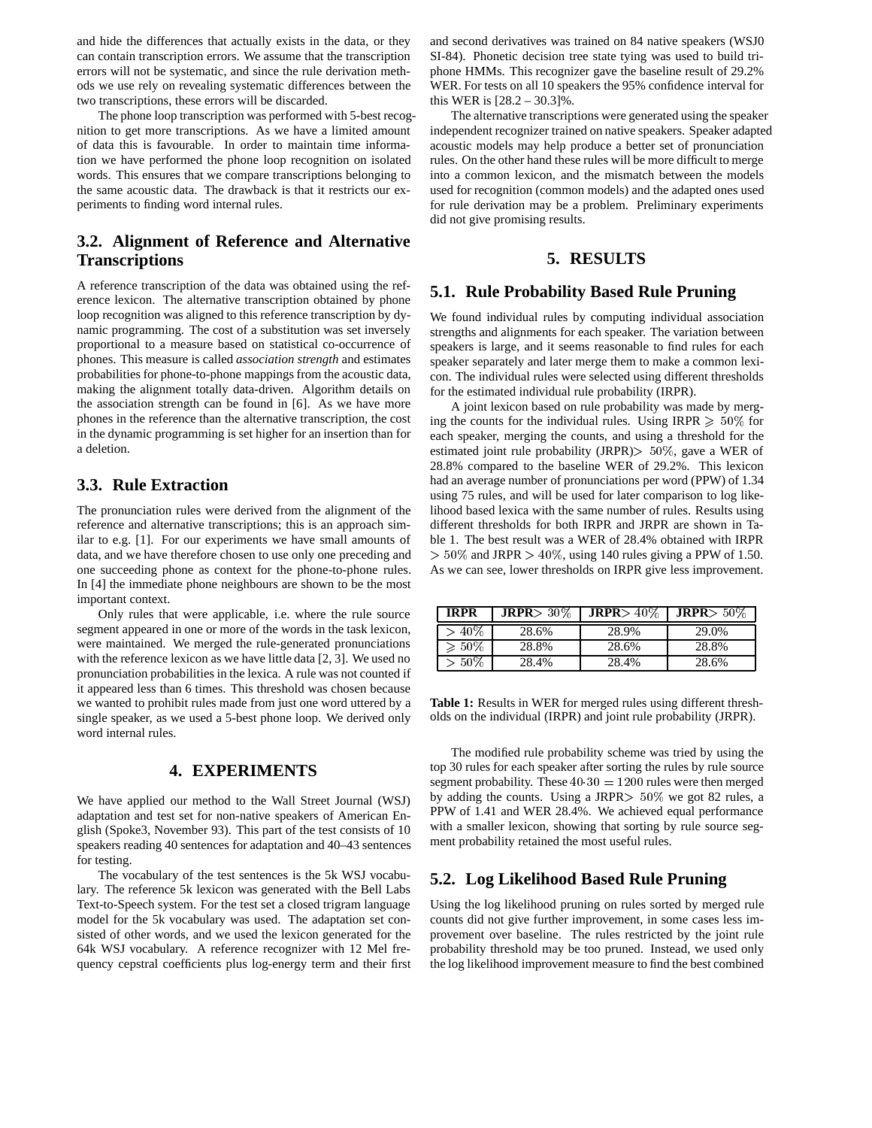and hide the differences that actually exists in the data, or they can contain transcription errors. We assume that the transcription errors will not be systematic, and since the rule derivation methods we use rely on revealing systematic differences between the two transcriptions, these errors will be discarded.

The phone loop transcription was performed with 5-best recognition to get more transcriptions. As we have a limited amount of data this is favourable. In order to maintain time information we have performed the phone loop recognition on isolated words. This ensures that we compare transcriptions belonging to the same acoustic data. The drawback is that it restricts our experiments to finding word internal rules.

# **3.2. Alignment of Reference and Alternative Transcriptions**

A reference transcription of the data was obtained using the reference lexicon. The alternative transcription obtained by phone loop recognition was aligned to this reference transcription by dynamic programming. The cost of a substitution was set inversely proportional to a measure based on statistical co-occurrence of phones. This measure is called *association strength* and estimates probabilities for phone-to-phone mappings from the acoustic data, making the alignment totally data-driven. Algorithm details on the association strength can be found in [6]. As we have more phones in the reference than the alternative transcription, the cost in the dynamic programming is set higher for an insertion than for a deletion.

### **3.3. Rule Extraction**

The pronunciation rules were derived from the alignment of the reference and alternative transcriptions; this is an approach similar to e.g. [1]. For our experiments we have small amounts of data, and we have therefore chosen to use only one preceding and one succeeding phone as context for the phone-to-phone rules. In [4] the immediate phone neighbours are shown to be the most important context.

Only rules that were applicable, i.e. where the rule source segment appeared in one or more of the words in the task lexicon, were maintained. We merged the rule-generated pronunciations with the reference lexicon as we have little data [2, 3]. We used no pronunciation probabilities in the lexica. A rule was not counted if it appeared less than 6 times. This threshold was chosen because we wanted to prohibit rules made from just one word uttered by a single speaker, as we used a 5-best phone loop. We derived only word internal rules.

### **4. EXPERIMENTS**

We have applied our method to the Wall Street Journal (WSJ) adaptation and test set for non-native speakers of American English (Spoke3, November 93). This part of the test consists of 10 speakers reading 40 sentences for adaptation and 40–43 sentences for testing.

The vocabulary of the test sentences is the 5k WSJ vocabulary. The reference 5k lexicon was generated with the Bell Labs Text-to-Speech system. For the test set a closed trigram language model for the 5k vocabulary was used. The adaptation set consisted of other words, and we used the lexicon generated for the 64k WSJ vocabulary. A reference recognizer with 12 Mel frequency cepstral coefficients plus log-energy term and their first and second derivatives was trained on 84 native speakers (WSJ0 SI-84). Phonetic decision tree state tying was used to build triphone HMMs. This recognizer gave the baseline result of 29.2% WER. For tests on all 10 speakers the 95% confidence interval for this WER is [28.2 – 30.3]%.

The alternative transcriptions were generated using the speaker independent recognizer trained on native speakers. Speaker adapted acoustic models may help produce a better set of pronunciation rules. On the other hand these rules will be more difficult to merge into a common lexicon, and the mismatch between the models used for recognition (common models) and the adapted ones used for rule derivation may be a problem. Preliminary experiments did not give promising results.

## **5. RESULTS**

### **5.1. Rule Probability Based Rule Pruning**

We found individual rules by computing individual association strengths and alignments for each speaker. The variation between speakers is large, and it seems reasonable to find rules for each speaker separately and later merge them to make a common lexicon. The individual rules were selected using different thresholds for the estimated individual rule probability (IRPR).

A joint lexicon based on rule probability was made by merging the counts for the individual rules. Using IRPR  $\geq 50\%$  for each speaker, merging the counts, and using a threshold for the estimated joint rule probability (JRPR)<sup>&</sup>gt; 50%, gave a WER of 28.8% compared to the baseline WER of 29.2%. This lexicon had an average number of pronunciations per word (PPW) of 1.34 using 75 rules, and will be used for later comparison to log likelihood based lexica with the same number of rules. Results using different thresholds for both IRPR and JRPR are shown in Table 1. The best result was a WER of 28.4% obtained with IRPR  $> 50\%$  and JRPR  $> 40\%$ , using 140 rules giving a PPW of 1.50. As we can see, lower thresholds on IRPR give less improvement.

| <b>IRPR</b> | $JRPR > 30\%$ | JRPR $>40\%$ | $JRPR > 50\%$ |
|-------------|---------------|--------------|---------------|
| 40%         | 28.6%         | 28.9%        | 29.0%         |
| $>50\%$     | 28.8%         | 28.6%        | 28.8%         |
| 50%         | 28.4%         | 28.4%        | 28.6%         |

**Table 1:** Results in WER for merged rules using different thresholds on the individual (IRPR) and joint rule probability (JRPR).

The modified rule probability scheme was tried by using the top 30 rules for each speaker after sorting the rules by rule source segment probability. These  $40.30 = 1200$  rules were then merged by adding the counts. Using a JRPR<sup>&</sup>gt; 50% we got 82 rules, a PPW of 1.41 and WER 28.4%. We achieved equal performance with a smaller lexicon, showing that sorting by rule source segment probability retained the most useful rules.

### **5.2. Log Likelihood Based Rule Pruning**

Using the log likelihood pruning on rules sorted by merged rule counts did not give further improvement, in some cases less improvement over baseline. The rules restricted by the joint rule probability threshold may be too pruned. Instead, we used only the log likelihood improvement measure to find the best combined